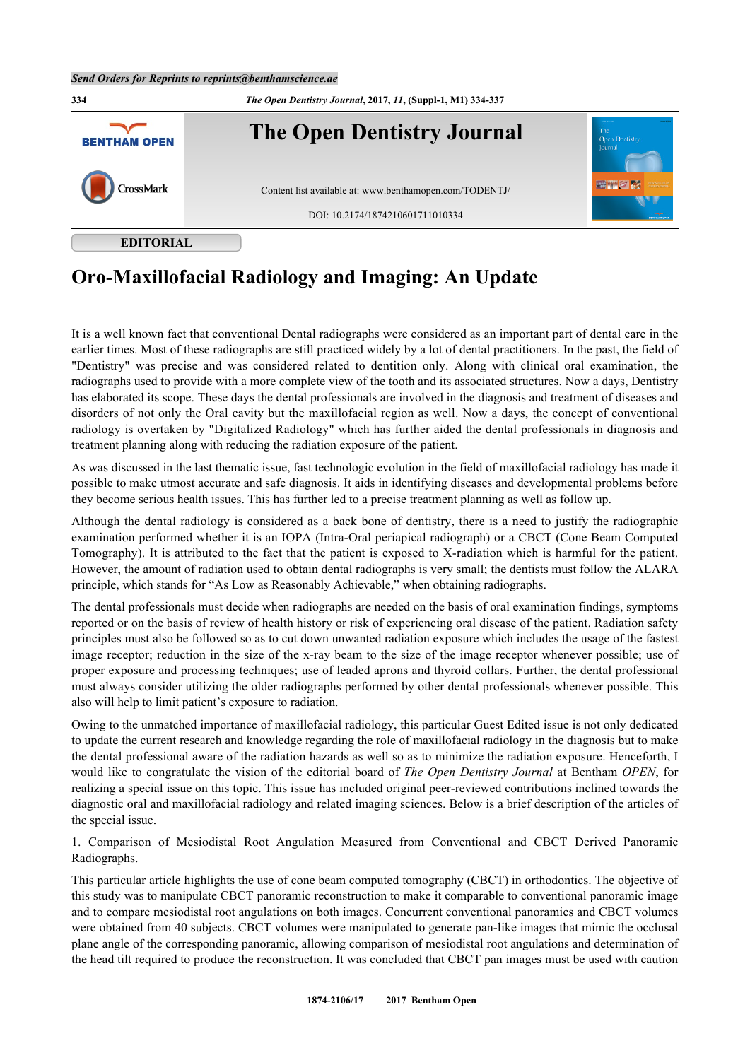

## **Oro-Maxillofacial Radiology and Imaging: An Update**

It is a well known fact that conventional Dental radiographs were considered as an important part of dental care in the earlier times. Most of these radiographs are still practiced widely by a lot of dental practitioners. In the past, the field of "Dentistry" was precise and was considered related to dentition only. Along with clinical oral examination, the radiographs used to provide with a more complete view of the tooth and its associated structures. Now a days, Dentistry has elaborated its scope. These days the dental professionals are involved in the diagnosis and treatment of diseases and disorders of not only the Oral cavity but the maxillofacial region as well. Now a days, the concept of conventional radiology is overtaken by "Digitalized Radiology" which has further aided the dental professionals in diagnosis and treatment planning along with reducing the radiation exposure of the patient.

As was discussed in the last thematic issue, fast technologic evolution in the field of maxillofacial radiology has made it possible to make utmost accurate and safe diagnosis. It aids in identifying diseases and developmental problems before they become serious health issues. This has further led to a precise treatment planning as well as follow up.

Although the dental radiology is considered as a back bone of dentistry, there is a need to justify the radiographic examination performed whether it is an IOPA (Intra-Oral periapical radiograph) or a CBCT (Cone Beam Computed Tomography). It is attributed to the fact that the patient is exposed to X-radiation which is harmful for the patient. However, the amount of radiation used to obtain dental radiographs is very small; the dentists must follow the ALARA principle, which stands for "As Low as Reasonably Achievable," when obtaining radiographs.

The dental professionals must decide when radiographs are needed on the basis of oral examination findings, symptoms reported or on the basis of review of health history or risk of experiencing oral disease of the patient. Radiation safety principles must also be followed so as to cut down unwanted radiation exposure which includes the usage of the fastest image receptor; reduction in the size of the x-ray beam to the size of the image receptor whenever possible; use of proper exposure and processing techniques; use of leaded aprons and thyroid collars. Further, the dental professional must always consider utilizing the older radiographs performed by other dental professionals whenever possible. This also will help to limit patient's exposure to radiation.

Owing to the unmatched importance of maxillofacial radiology, this particular Guest Edited issue is not only dedicated to update the current research and knowledge regarding the role of maxillofacial radiology in the diagnosis but to make the dental professional aware of the radiation hazards as well so as to minimize the radiation exposure. Henceforth, I would like to congratulate the vision of the editorial board of *The Open Dentistry Journal* at Bentham *OPEN*, for realizing a special issue on this topic. This issue has included original peer-reviewed contributions inclined towards the diagnostic oral and maxillofacial radiology and related imaging sciences. Below is a brief description of the articles of the special issue.

1. Comparison of Mesiodistal Root Angulation Measured from Conventional and CBCT Derived Panoramic Radiographs.

This particular article highlights the use of cone beam computed tomography (CBCT) in orthodontics. The objective of this study was to manipulate CBCT panoramic reconstruction to make it comparable to conventional panoramic image and to compare mesiodistal root angulations on both images. Concurrent conventional panoramics and CBCT volumes were obtained from 40 subjects. CBCT volumes were manipulated to generate pan-like images that mimic the occlusal plane angle of the corresponding panoramic, allowing comparison of mesiodistal root angulations and determination of the head tilt required to produce the reconstruction. It was concluded that CBCT pan images must be used with caution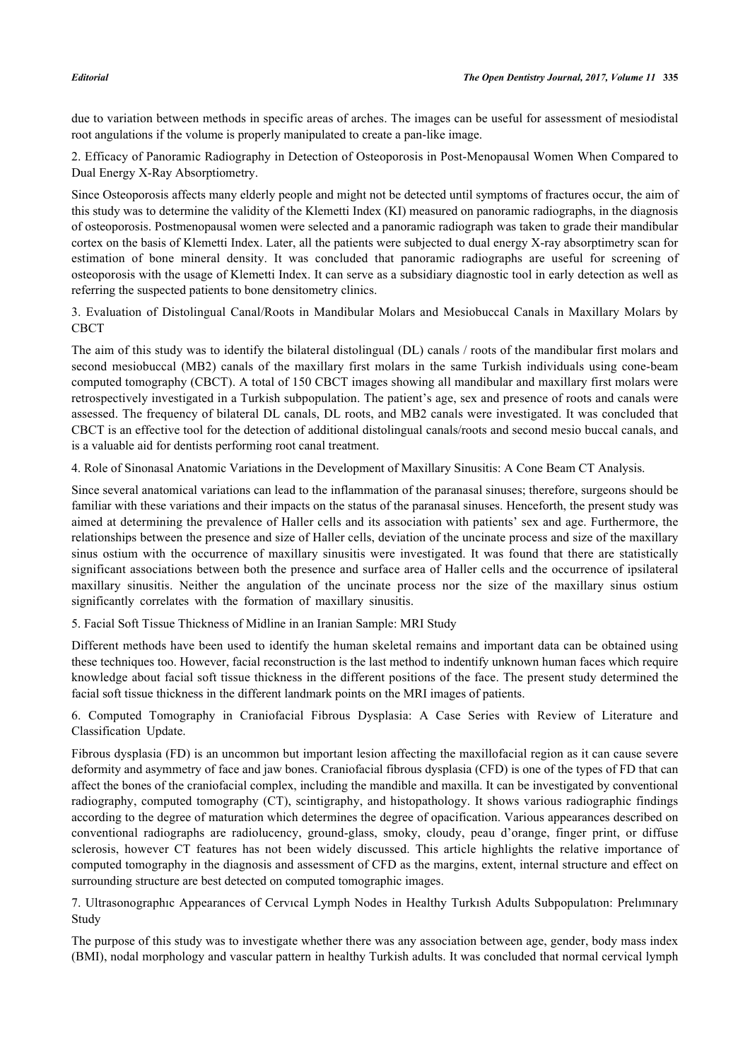due to variation between methods in specific areas of arches. The images can be useful for assessment of mesiodistal root angulations if the volume is properly manipulated to create a pan-like image.

2. Efficacy of Panoramic Radiography in Detection of Osteoporosis in Post-Menopausal Women When Compared to Dual Energy X-Ray Absorptiometry.

Since Osteoporosis affects many elderly people and might not be detected until symptoms of fractures occur, the aim of this study was to determine the validity of the Klemetti Index (KI) measured on panoramic radiographs, in the diagnosis of osteoporosis. Postmenopausal women were selected and a panoramic radiograph was taken to grade their mandibular cortex on the basis of Klemetti Index. Later, all the patients were subjected to dual energy X-ray absorptimetry scan for estimation of bone mineral density. It was concluded that panoramic radiographs are useful for screening of osteoporosis with the usage of Klemetti Index. It can serve as a subsidiary diagnostic tool in early detection as well as referring the suspected patients to bone densitometry clinics.

3. Evaluation of Distolingual Canal/Roots in Mandibular Molars and Mesiobuccal Canals in Maxillary Molars by CBCT

The aim of this study was to identify the bilateral distolingual (DL) canals / roots of the mandibular first molars and second mesiobuccal (MB2) canals of the maxillary first molars in the same Turkish individuals using cone-beam computed tomography (CBCT). A total of 150 CBCT images showing all mandibular and maxillary first molars were retrospectively investigated in a Turkish subpopulation. The patient's age, sex and presence of roots and canals were assessed. The frequency of bilateral DL canals, DL roots, and MB2 canals were investigated. It was concluded that CBCT is an effective tool for the detection of additional distolingual canals/roots and second mesio buccal canals, and is a valuable aid for dentists performing root canal treatment.

4. Role of Sinonasal Anatomic Variations in the Development of Maxillary Sinusitis: A Cone Beam CT Analysis.

Since several anatomical variations can lead to the inflammation of the paranasal sinuses; therefore, surgeons should be familiar with these variations and their impacts on the status of the paranasal sinuses. Henceforth, the present study was aimed at determining the prevalence of Haller cells and its association with patients' sex and age. Furthermore, the relationships between the presence and size of Haller cells, deviation of the uncinate process and size of the maxillary sinus ostium with the occurrence of maxillary sinusitis were investigated. It was found that there are statistically significant associations between both the presence and surface area of Haller cells and the occurrence of ipsilateral maxillary sinusitis. Neither the angulation of the uncinate process nor the size of the maxillary sinus ostium significantly correlates with the formation of maxillary sinusitis.

5. Facial Soft Tissue Thickness of Midline in an Iranian Sample: MRI Study

Different methods have been used to identify the human skeletal remains and important data can be obtained using these techniques too. However, facial reconstruction is the last method to indentify unknown human faces which require knowledge about facial soft tissue thickness in the different positions of the face. The present study determined the facial soft tissue thickness in the different landmark points on the MRI images of patients.

6. Computed Tomography in Craniofacial Fibrous Dysplasia: A Case Series with Review of Literature and Classification Update.

Fibrous dysplasia (FD) is an uncommon but important lesion affecting the maxillofacial region as it can cause severe deformity and asymmetry of face and jaw bones. Craniofacial fibrous dysplasia (CFD) is one of the types of FD that can affect the bones of the craniofacial complex, including the mandible and maxilla. It can be investigated by conventional radiography, computed tomography (CT), scintigraphy, and histopathology. It shows various radiographic findings according to the degree of maturation which determines the degree of opacification. Various appearances described on conventional radiographs are radiolucency, ground-glass, smoky, cloudy, peau d'orange, finger print, or diffuse sclerosis, however CT features has not been widely discussed. This article highlights the relative importance of computed tomography in the diagnosis and assessment of CFD as the margins, extent, internal structure and effect on surrounding structure are best detected on computed tomographic images.

7. Ultrasonographıc Appearances of Cervıcal Lymph Nodes in Healthy Turkısh Adults Subpopulatıon: Prelımınary Study

The purpose of this study was to investigate whether there was any association between age, gender, body mass index (BMI), nodal morphology and vascular pattern in healthy Turkish adults. It was concluded that normal cervical lymph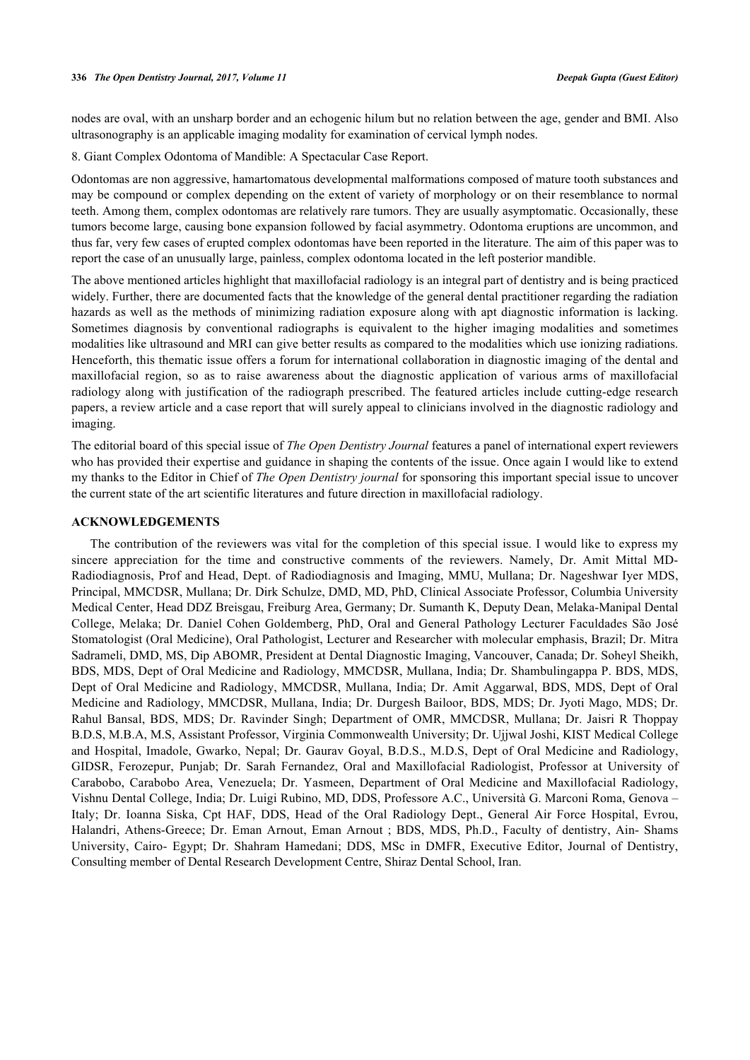nodes are oval, with an unsharp border and an echogenic hilum but no relation between the age, gender and BMI. Also ultrasonography is an applicable imaging modality for examination of cervical lymph nodes.

8. Giant Complex Odontoma of Mandible: A Spectacular Case Report.

Odontomas are non aggressive, hamartomatous developmental malformations composed of mature tooth substances and may be compound or complex depending on the extent of variety of morphology or on their resemblance to normal teeth. Among them, complex odontomas are relatively rare tumors. They are usually asymptomatic. Occasionally, these tumors become large, causing bone expansion followed by facial asymmetry. Odontoma eruptions are uncommon, and thus far, very few cases of erupted complex odontomas have been reported in the literature. The aim of this paper was to report the case of an unusually large, painless, complex odontoma located in the left posterior mandible.

The above mentioned articles highlight that maxillofacial radiology is an integral part of dentistry and is being practiced widely. Further, there are documented facts that the knowledge of the general dental practitioner regarding the radiation hazards as well as the methods of minimizing radiation exposure along with apt diagnostic information is lacking. Sometimes diagnosis by conventional radiographs is equivalent to the higher imaging modalities and sometimes modalities like ultrasound and MRI can give better results as compared to the modalities which use ionizing radiations. Henceforth, this thematic issue offers a forum for international collaboration in diagnostic imaging of the dental and maxillofacial region, so as to raise awareness about the diagnostic application of various arms of maxillofacial radiology along with justification of the radiograph prescribed. The featured articles include cutting-edge research papers, a review article and a case report that will surely appeal to clinicians involved in the diagnostic radiology and imaging.

The editorial board of this special issue of *The Open Dentistry Journal* features a panel of international expert reviewers who has provided their expertise and guidance in shaping the contents of the issue. Once again I would like to extend my thanks to the Editor in Chief of *The Open Dentistry journal* for sponsoring this important special issue to uncover the current state of the art scientific literatures and future direction in maxillofacial radiology.

## **ACKNOWLEDGEMENTS**

The contribution of the reviewers was vital for the completion of this special issue. I would like to express my sincere appreciation for the time and constructive comments of the reviewers. Namely, Dr. Amit Mittal MD-Radiodiagnosis, Prof and Head, Dept. of Radiodiagnosis and Imaging, MMU, Mullana; Dr. Nageshwar Iyer MDS, Principal, MMCDSR, Mullana; Dr. Dirk Schulze, DMD, MD, PhD, Clinical Associate Professor, Columbia University Medical Center, Head DDZ Breisgau, Freiburg Area, Germany; Dr. Sumanth K, Deputy Dean, Melaka-Manipal Dental College, Melaka; Dr. Daniel Cohen Goldemberg, PhD, Oral and General Pathology Lecturer Faculdades São José Stomatologist (Oral Medicine), Oral Pathologist, Lecturer and Researcher with molecular emphasis, Brazil; Dr. Mitra Sadrameli, DMD, MS, Dip ABOMR, President at Dental Diagnostic Imaging, Vancouver, Canada; Dr. Soheyl Sheikh, BDS, MDS, Dept of Oral Medicine and Radiology, MMCDSR, Mullana, India; Dr. Shambulingappa P. BDS, MDS, Dept of Oral Medicine and Radiology, MMCDSR, Mullana, India; Dr. Amit Aggarwal, BDS, MDS, Dept of Oral Medicine and Radiology, MMCDSR, Mullana, India; Dr. Durgesh Bailoor, BDS, MDS; Dr. Jyoti Mago, MDS; Dr. Rahul Bansal, BDS, MDS; Dr. Ravinder Singh; Department of OMR, MMCDSR, Mullana; Dr. Jaisri R Thoppay B.D.S, M.B.A, M.S, Assistant Professor, Virginia Commonwealth University; Dr. Ujjwal Joshi, KIST Medical College and Hospital, Imadole, Gwarko, Nepal; Dr. Gaurav Goyal, B.D.S., M.D.S, Dept of Oral Medicine and Radiology, GIDSR, Ferozepur, Punjab; Dr. Sarah Fernandez, Oral and Maxillofacial Radiologist, Professor at University of Carabobo, Carabobo Area, Venezuela; Dr. Yasmeen, Department of Oral Medicine and Maxillofacial Radiology, Vishnu Dental College, India; Dr. Luigi Rubino, MD, DDS, Professore A.C., Università G. Marconi Roma, Genova – Italy; Dr. Ioanna Siska, Cpt HAF, DDS, Head of the Oral Radiology Dept., General Air Force Hospital, Evrou, Ηalandri, Athens-Greece; Dr. Eman Arnout, Eman Arnout ; BDS, MDS, Ph.D., Faculty of dentistry, Ain- Shams University, Cairo- Egypt; Dr. Shahram Hamedani; DDS, MSc in DMFR, Executive Editor, Journal of Dentistry, Consulting member of Dental Research Development Centre, Shiraz Dental School, Iran.